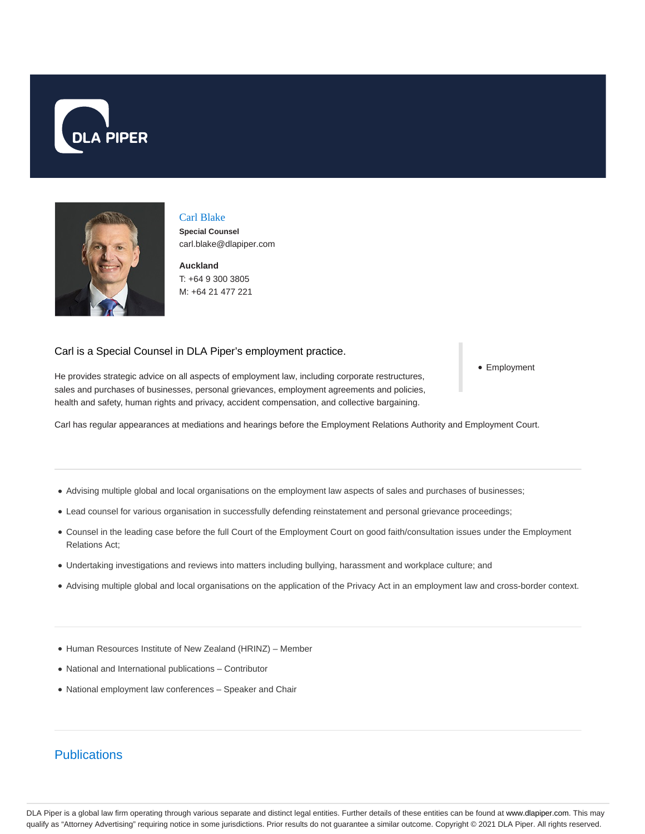



## Carl Blake

**Special Counsel** carl.blake@dlapiper.com

**Auckland** T: +64 9 300 3805 M: +64 21 477 221

# Carl is a Special Counsel in DLA Piper's employment practice.

• Employment

He provides strategic advice on all aspects of employment law, including corporate restructures, sales and purchases of businesses, personal grievances, employment agreements and policies, health and safety, human rights and privacy, accident compensation, and collective bargaining.

Carl has regular appearances at mediations and hearings before the Employment Relations Authority and Employment Court.

- Advising multiple global and local organisations on the employment law aspects of sales and purchases of businesses;
- Lead counsel for various organisation in successfully defending reinstatement and personal grievance proceedings;
- Counsel in the leading case before the full Court of the Employment Court on good faith/consultation issues under the Employment Relations Act;
- Undertaking investigations and reviews into matters including bullying, harassment and workplace culture; and
- Advising multiple global and local organisations on the application of the Privacy Act in an employment law and cross-border context.
- Human Resources Institute of New Zealand (HRINZ) Member
- National and International publications Contributor
- National employment law conferences Speaker and Chair

# **Publications**

DLA Piper is a global law firm operating through various separate and distinct legal entities. Further details of these entities can be found at www.dlapiper.com. This may qualify as "Attorney Advertising" requiring notice in some jurisdictions. Prior results do not guarantee a similar outcome. Copyright © 2021 DLA Piper. All rights reserved.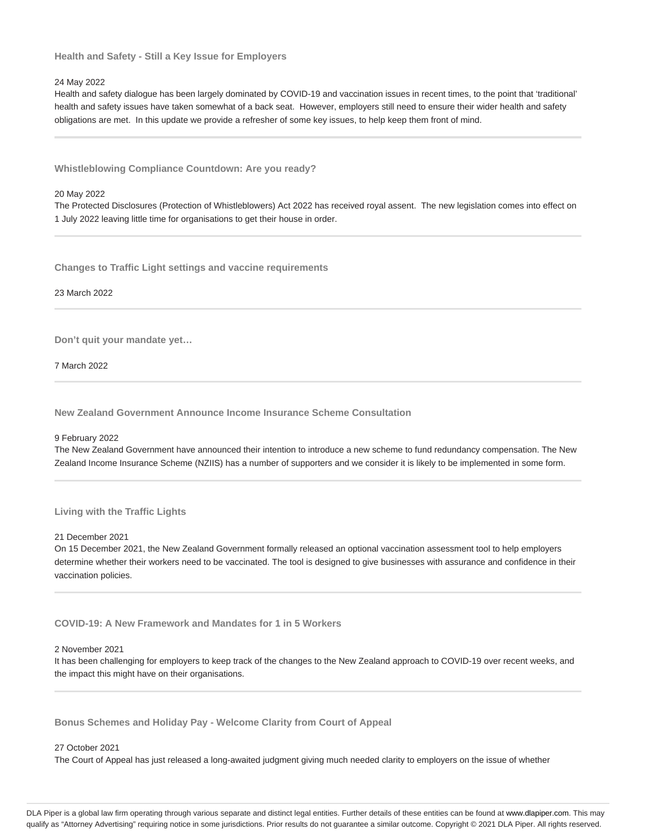**Health and Safety - Still a Key Issue for Employers**

### 24 May 2022

Health and safety dialogue has been largely dominated by COVID-19 and vaccination issues in recent times, to the point that 'traditional' health and safety issues have taken somewhat of a back seat. However, employers still need to ensure their wider health and safety obligations are met. In this update we provide a refresher of some key issues, to help keep them front of mind.

**Whistleblowing Compliance Countdown: Are you ready?**

#### 20 May 2022

The Protected Disclosures (Protection of Whistleblowers) Act 2022 has received royal assent. The new legislation comes into effect on 1 July 2022 leaving little time for organisations to get their house in order.

**Changes to Traffic Light settings and vaccine requirements**

23 March 2022

**Don't quit your mandate yet…**

7 March 2022

**New Zealand Government Announce Income Insurance Scheme Consultation**

9 February 2022

The New Zealand Government have announced their intention to introduce a new scheme to fund redundancy compensation. The New Zealand Income Insurance Scheme (NZIIS) has a number of supporters and we consider it is likely to be implemented in some form.

### **Living with the Traffic Lights**

21 December 2021

On 15 December 2021, the New Zealand Government formally released an optional vaccination assessment tool to help employers determine whether their workers need to be vaccinated. The tool is designed to give businesses with assurance and confidence in their vaccination policies.

**COVID-19: A New Framework and Mandates for 1 in 5 Workers**

## 2 November 2021

It has been challenging for employers to keep track of the changes to the New Zealand approach to COVID-19 over recent weeks, and the impact this might have on their organisations.

**Bonus Schemes and Holiday Pay - Welcome Clarity from Court of Appeal**

#### 27 October 2021

The Court of Appeal has just released a long-awaited judgment giving much needed clarity to employers on the issue of whether

DLA Piper is a global law firm operating through various separate and distinct legal entities. Further details of these entities can be found at www.dlapiper.com. This may qualify as "Attorney Advertising" requiring notice in some jurisdictions. Prior results do not guarantee a similar outcome. Copyright @ 2021 DLA Piper. All rights reserved.